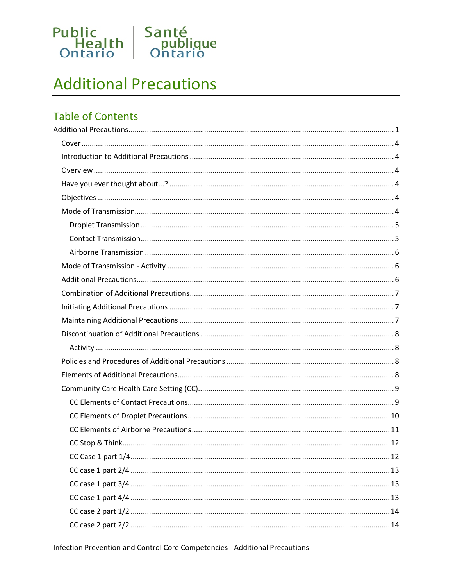

# <span id="page-0-0"></span>**Additional Precautions**

## **Table of Contents**

Infection Prevention and Control Core Competencies - Additional Precautions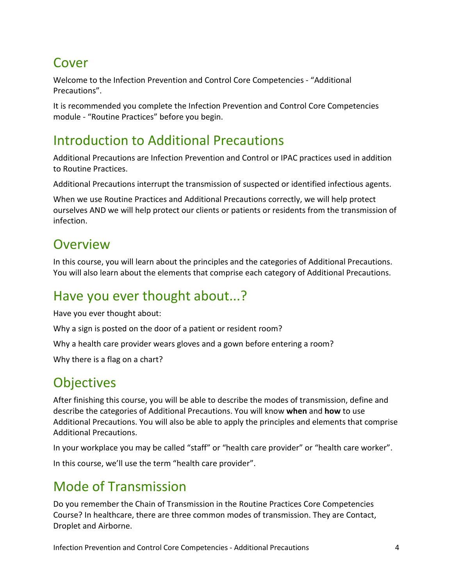# <span id="page-3-0"></span>Cover

Welcome to the Infection Prevention and Control Core Competencies - "Additional Precautions".

It is recommended you complete the Infection Prevention and Control Core Competencies module - "Routine Practices" before you begin.

# <span id="page-3-1"></span>Introduction to Additional Precautions

Additional Precautions are Infection Prevention and Control or IPAC practices used in addition to Routine Practices.

Additional Precautions interrupt the transmission of suspected or identified infectious agents.

When we use Routine Practices and Additional Precautions correctly, we will help protect ourselves AND we will help protect our clients or patients or residents from the transmission of infection.

# <span id="page-3-2"></span>**Overview**

In this course, you will learn about the principles and the categories of Additional Precautions. You will also learn about the elements that comprise each category of Additional Precautions.

# <span id="page-3-3"></span>Have you ever thought about...?

Have you ever thought about:

Why a sign is posted on the door of a patient or resident room?

Why a health care provider wears gloves and a gown before entering a room?

Why there is a flag on a chart?

# <span id="page-3-4"></span>**Objectives**

After finishing this course, you will be able to describe the modes of transmission, define and describe the categories of Additional Precautions. You will know **when** and **how** to use Additional Precautions. You will also be able to apply the principles and elements that comprise Additional Precautions.

In your workplace you may be called "staff" or "health care provider" or "health care worker".

In this course, we'll use the term "health care provider".

# <span id="page-3-5"></span>Mode of Transmission

Do you remember the Chain of Transmission in the Routine Practices Core Competencies Course? In healthcare, there are three common modes of transmission. They are Contact, Droplet and Airborne.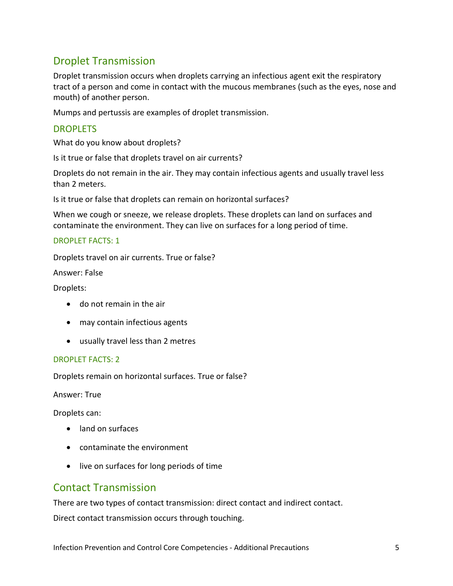### <span id="page-4-0"></span>Droplet Transmission

Droplet transmission occurs when droplets carrying an infectious agent exit the respiratory tract of a person and come in contact with the mucous membranes (such as the eyes, nose and mouth) of another person.

Mumps and pertussis are examples of droplet transmission.

#### DROPLETS

What do you know about droplets?

Is it true or false that droplets travel on air currents?

Droplets do not remain in the air. They may contain infectious agents and usually travel less than 2 meters.

Is it true or false that droplets can remain on horizontal surfaces?

When we cough or sneeze, we release droplets. These droplets can land on surfaces and contaminate the environment. They can live on surfaces for a long period of time.

#### DROPLET FACTS: 1

Droplets travel on air currents. True or false?

Answer: False

Droplets:

- do not remain in the air
- may contain infectious agents
- usually travel less than 2 metres

#### DROPLET FACTS: 2

Droplets remain on horizontal surfaces. True or false?

Answer: True

Droplets can:

- land on surfaces
- contaminate the environment
- live on surfaces for long periods of time

### <span id="page-4-1"></span>Contact Transmission

There are two types of contact transmission: direct contact and indirect contact.

Direct contact transmission occurs through touching.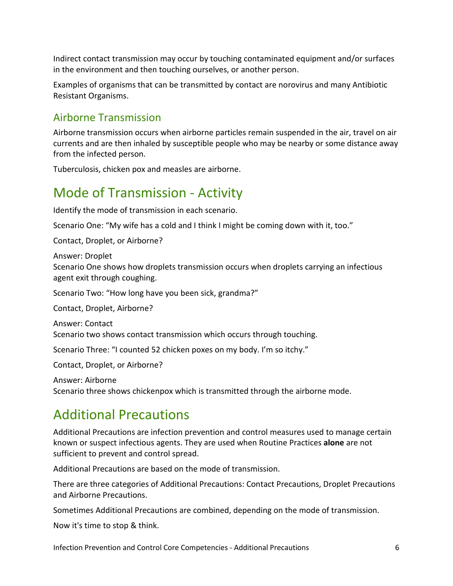Indirect contact transmission may occur by touching contaminated equipment and/or surfaces in the environment and then touching ourselves, or another person.

Examples of organisms that can be transmitted by contact are norovirus and many Antibiotic Resistant Organisms.

### <span id="page-5-0"></span>Airborne Transmission

Airborne transmission occurs when airborne particles remain suspended in the air, travel on air currents and are then inhaled by susceptible people who may be nearby or some distance away from the infected person.

Tuberculosis, chicken pox and measles are airborne.

# <span id="page-5-1"></span>Mode of Transmission - Activity

Identify the mode of transmission in each scenario.

Scenario One: "My wife has a cold and I think I might be coming down with it, too."

Contact, Droplet, or Airborne?

Answer: Droplet Scenario One shows how droplets transmission occurs when droplets carrying an infectious agent exit through coughing.

Scenario Two: "How long have you been sick, grandma?"

Contact, Droplet, Airborne?

Answer: Contact Scenario two shows contact transmission which occurs through touching.

Scenario Three: "I counted 52 chicken poxes on my body. I'm so itchy."

Contact, Droplet, or Airborne?

Answer: Airborne Scenario three shows chickenpox which is transmitted through the airborne mode.

# <span id="page-5-2"></span>Additional Precautions

Additional Precautions are infection prevention and control measures used to manage certain known or suspect infectious agents. They are used when Routine Practices **alone** are not sufficient to prevent and control spread.

Additional Precautions are based on the mode of transmission.

There are three categories of Additional Precautions: Contact Precautions, Droplet Precautions and Airborne Precautions.

Sometimes Additional Precautions are combined, depending on the mode of transmission.

Now it's time to stop & think.

Infection Prevention and Control Core Competencies - Additional Precautions 6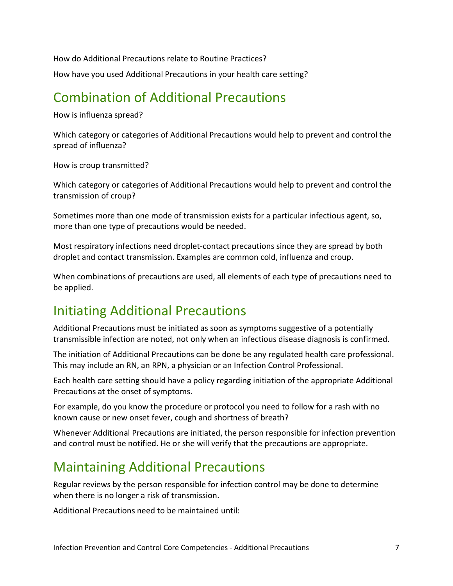How do Additional Precautions relate to Routine Practices? How have you used Additional Precautions in your health care setting?

# <span id="page-6-0"></span>Combination of Additional Precautions

How is influenza spread?

Which category or categories of Additional Precautions would help to prevent and control the spread of influenza?

How is croup transmitted?

Which category or categories of Additional Precautions would help to prevent and control the transmission of croup?

Sometimes more than one mode of transmission exists for a particular infectious agent, so, more than one type of precautions would be needed.

Most respiratory infections need droplet-contact precautions since they are spread by both droplet and contact transmission. Examples are common cold, influenza and croup.

When combinations of precautions are used, all elements of each type of precautions need to be applied.

# <span id="page-6-1"></span>Initiating Additional Precautions

Additional Precautions must be initiated as soon as symptoms suggestive of a potentially transmissible infection are noted, not only when an infectious disease diagnosis is confirmed.

The initiation of Additional Precautions can be done be any regulated health care professional. This may include an RN, an RPN, a physician or an Infection Control Professional.

Each health care setting should have a policy regarding initiation of the appropriate Additional Precautions at the onset of symptoms.

For example, do you know the procedure or protocol you need to follow for a rash with no known cause or new onset fever, cough and shortness of breath?

Whenever Additional Precautions are initiated, the person responsible for infection prevention and control must be notified. He or she will verify that the precautions are appropriate.

# <span id="page-6-2"></span>Maintaining Additional Precautions

Regular reviews by the person responsible for infection control may be done to determine when there is no longer a risk of transmission.

Additional Precautions need to be maintained until: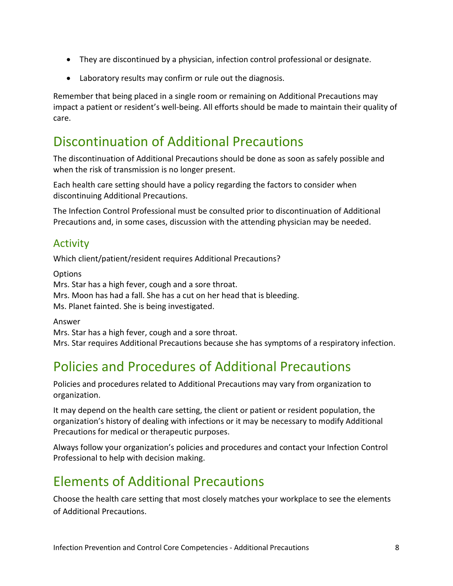- They are discontinued by a physician, infection control professional or designate.
- Laboratory results may confirm or rule out the diagnosis.

Remember that being placed in a single room or remaining on Additional Precautions may impact a patient or resident's well-being. All efforts should be made to maintain their quality of care.

# <span id="page-7-0"></span>Discontinuation of Additional Precautions

The discontinuation of Additional Precautions should be done as soon as safely possible and when the risk of transmission is no longer present.

Each health care setting should have a policy regarding the factors to consider when discontinuing Additional Precautions.

The Infection Control Professional must be consulted prior to discontinuation of Additional Precautions and, in some cases, discussion with the attending physician may be needed.

### <span id="page-7-1"></span>Activity

Which client/patient/resident requires Additional Precautions?

**Options** Mrs. Star has a high fever, cough and a sore throat. Mrs. Moon has had a fall. She has a cut on her head that is bleeding. Ms. Planet fainted. She is being investigated.

Answer

Mrs. Star has a high fever, cough and a sore throat.

Mrs. Star requires Additional Precautions because she has symptoms of a respiratory infection.

# <span id="page-7-2"></span>Policies and Procedures of Additional Precautions

Policies and procedures related to Additional Precautions may vary from organization to organization.

It may depend on the health care setting, the client or patient or resident population, the organization's history of dealing with infections or it may be necessary to modify Additional Precautions for medical or therapeutic purposes.

Always follow your organization's policies and procedures and contact your Infection Control Professional to help with decision making.

# <span id="page-7-3"></span>Elements of Additional Precautions

Choose the health care setting that most closely matches your workplace to see the elements of Additional Precautions.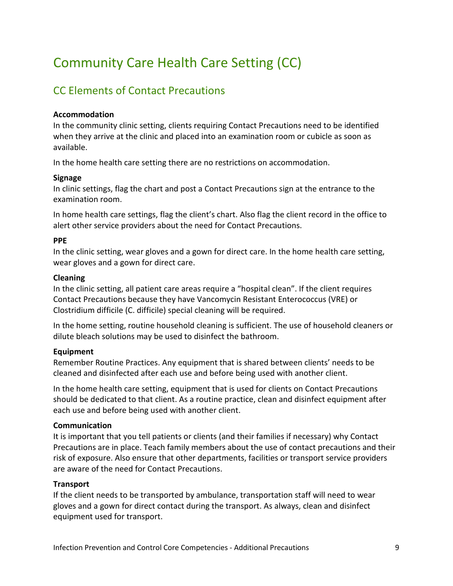# <span id="page-8-0"></span>Community Care Health Care Setting (CC)

## <span id="page-8-1"></span>CC Elements of Contact Precautions

#### **Accommodation**

In the community clinic setting, clients requiring Contact Precautions need to be identified when they arrive at the clinic and placed into an examination room or cubicle as soon as available.

In the home health care setting there are no restrictions on accommodation.

#### **Signage**

In clinic settings, flag the chart and post a Contact Precautions sign at the entrance to the examination room.

In home health care settings, flag the client's chart. Also flag the client record in the office to alert other service providers about the need for Contact Precautions.

#### **PPE**

In the clinic setting, wear gloves and a gown for direct care. In the home health care setting, wear gloves and a gown for direct care.

#### **Cleaning**

In the clinic setting, all patient care areas require a "hospital clean". If the client requires Contact Precautions because they have Vancomycin Resistant Enterococcus (VRE) or Clostridium difficile (C. difficile) special cleaning will be required.

In the home setting, routine household cleaning is sufficient. The use of household cleaners or dilute bleach solutions may be used to disinfect the bathroom.

#### **Equipment**

Remember Routine Practices. Any equipment that is shared between clients' needs to be cleaned and disinfected after each use and before being used with another client.

In the home health care setting, equipment that is used for clients on Contact Precautions should be dedicated to that client. As a routine practice, clean and disinfect equipment after each use and before being used with another client.

#### **Communication**

It is important that you tell patients or clients (and their families if necessary) why Contact Precautions are in place. Teach family members about the use of contact precautions and their risk of exposure. Also ensure that other departments, facilities or transport service providers are aware of the need for Contact Precautions.

#### **Transport**

If the client needs to be transported by ambulance, transportation staff will need to wear gloves and a gown for direct contact during the transport. As always, clean and disinfect equipment used for transport.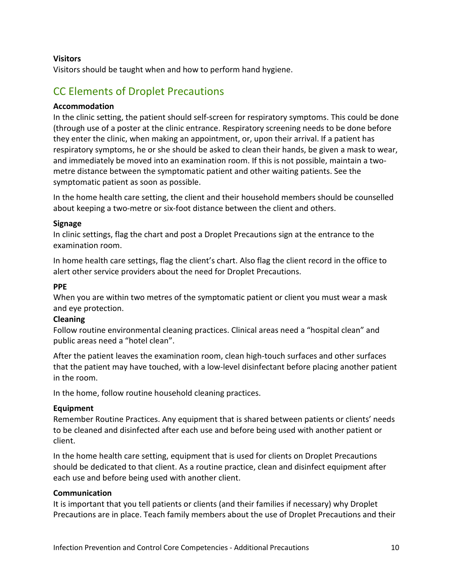#### **Visitors**

Visitors should be taught when and how to perform hand hygiene.

### <span id="page-9-0"></span>CC Elements of Droplet Precautions

#### **Accommodation**

In the clinic setting, the patient should self-screen for respiratory symptoms. This could be done (through use of a poster at the clinic entrance. Respiratory screening needs to be done before they enter the clinic, when making an appointment, or, upon their arrival. If a patient has respiratory symptoms, he or she should be asked to clean their hands, be given a mask to wear, and immediately be moved into an examination room. If this is not possible, maintain a twometre distance between the symptomatic patient and other waiting patients. See the symptomatic patient as soon as possible.

In the home health care setting, the client and their household members should be counselled about keeping a two-metre or six-foot distance between the client and others.

#### **Signage**

In clinic settings, flag the chart and post a Droplet Precautions sign at the entrance to the examination room.

In home health care settings, flag the client's chart. Also flag the client record in the office to alert other service providers about the need for Droplet Precautions.

#### **PPE**

When you are within two metres of the symptomatic patient or client you must wear a mask and eye protection.

#### **Cleaning**

Follow routine environmental cleaning practices. Clinical areas need a "hospital clean" and public areas need a "hotel clean".

After the patient leaves the examination room, clean high-touch surfaces and other surfaces that the patient may have touched, with a low-level disinfectant before placing another patient in the room.

In the home, follow routine household cleaning practices.

#### **Equipment**

Remember Routine Practices. Any equipment that is shared between patients or clients' needs to be cleaned and disinfected after each use and before being used with another patient or client.

In the home health care setting, equipment that is used for clients on Droplet Precautions should be dedicated to that client. As a routine practice, clean and disinfect equipment after each use and before being used with another client.

#### **Communication**

It is important that you tell patients or clients (and their families if necessary) why Droplet Precautions are in place. Teach family members about the use of Droplet Precautions and their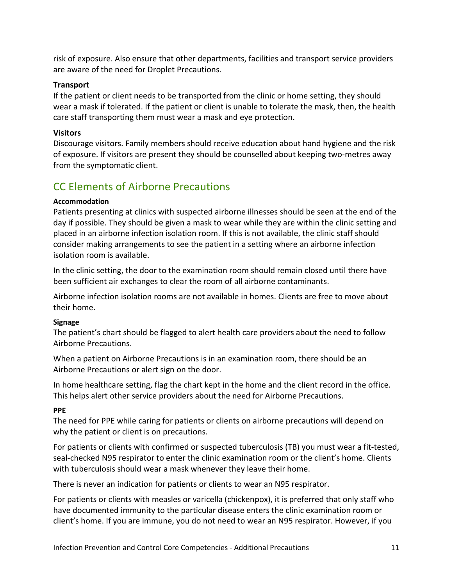risk of exposure. Also ensure that other departments, facilities and transport service providers are aware of the need for Droplet Precautions.

#### **Transport**

If the patient or client needs to be transported from the clinic or home setting, they should wear a mask if tolerated. If the patient or client is unable to tolerate the mask, then, the health care staff transporting them must wear a mask and eye protection.

#### **Visitors**

Discourage visitors. Family members should receive education about hand hygiene and the risk of exposure. If visitors are present they should be counselled about keeping two-metres away from the symptomatic client.

### <span id="page-10-0"></span>CC Elements of Airborne Precautions

#### **Accommodation**

Patients presenting at clinics with suspected airborne illnesses should be seen at the end of the day if possible. They should be given a mask to wear while they are within the clinic setting and placed in an airborne infection isolation room. If this is not available, the clinic staff should consider making arrangements to see the patient in a setting where an airborne infection isolation room is available.

In the clinic setting, the door to the examination room should remain closed until there have been sufficient air exchanges to clear the room of all airborne contaminants.

Airborne infection isolation rooms are not available in homes. Clients are free to move about their home.

#### **Signage**

The patient's chart should be flagged to alert health care providers about the need to follow Airborne Precautions.

When a patient on Airborne Precautions is in an examination room, there should be an Airborne Precautions or alert sign on the door.

In home healthcare setting, flag the chart kept in the home and the client record in the office. This helps alert other service providers about the need for Airborne Precautions.

#### **PPE**

The need for PPE while caring for patients or clients on airborne precautions will depend on why the patient or client is on precautions.

For patients or clients with confirmed or suspected tuberculosis (TB) you must wear a fit-tested, seal-checked N95 respirator to enter the clinic examination room or the client's home. Clients with tuberculosis should wear a mask whenever they leave their home.

There is never an indication for patients or clients to wear an N95 respirator.

For patients or clients with measles or varicella (chickenpox), it is preferred that only staff who have documented immunity to the particular disease enters the clinic examination room or client's home. If you are immune, you do not need to wear an N95 respirator. However, if you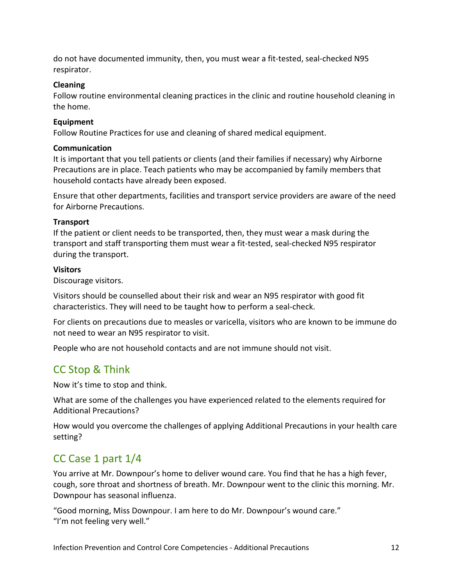do not have documented immunity, then, you must wear a fit-tested, seal-checked N95 respirator.

#### **Cleaning**

Follow routine environmental cleaning practices in the clinic and routine household cleaning in the home.

#### **Equipment**

Follow Routine Practices for use and cleaning of shared medical equipment.

#### **Communication**

It is important that you tell patients or clients (and their families if necessary) why Airborne Precautions are in place. Teach patients who may be accompanied by family members that household contacts have already been exposed.

Ensure that other departments, facilities and transport service providers are aware of the need for Airborne Precautions.

#### **Transport**

If the patient or client needs to be transported, then, they must wear a mask during the transport and staff transporting them must wear a fit-tested, seal-checked N95 respirator during the transport.

#### **Visitors**

Discourage visitors.

Visitors should be counselled about their risk and wear an N95 respirator with good fit characteristics. They will need to be taught how to perform a seal-check.

For clients on precautions due to measles or varicella, visitors who are known to be immune do not need to wear an N95 respirator to visit.

People who are not household contacts and are not immune should not visit.

## <span id="page-11-0"></span>CC Stop & Think

Now it's time to stop and think.

What are some of the challenges you have experienced related to the elements required for Additional Precautions?

How would you overcome the challenges of applying Additional Precautions in your health care setting?

## <span id="page-11-1"></span>CC Case 1 part 1/4

You arrive at Mr. Downpour's home to deliver wound care. You find that he has a high fever, cough, sore throat and shortness of breath. Mr. Downpour went to the clinic this morning. Mr. Downpour has seasonal influenza.

"Good morning, Miss Downpour. I am here to do Mr. Downpour's wound care." "I'm not feeling very well."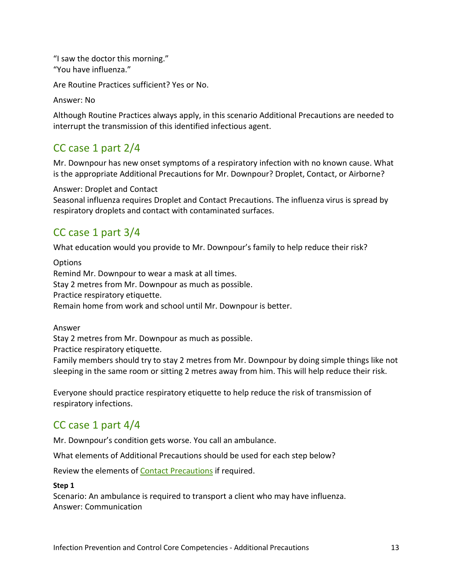"I saw the doctor this morning." "You have influenza."

Are Routine Practices sufficient? Yes or No.

Answer: No

Although Routine Practices always apply, in this scenario Additional Precautions are needed to interrupt the transmission of this identified infectious agent.

### <span id="page-12-0"></span>CC case 1 part 2/4

Mr. Downpour has new onset symptoms of a respiratory infection with no known cause. What is the appropriate Additional Precautions for Mr. Downpour? Droplet, Contact, or Airborne?

#### Answer: Droplet and Contact

Seasonal influenza requires Droplet and Contact Precautions. The influenza virus is spread by respiratory droplets and contact with contaminated surfaces.

### <span id="page-12-1"></span>CC case 1 part 3/4

What education would you provide to Mr. Downpour's family to help reduce their risk?

**Options** Remind Mr. Downpour to wear a mask at all times. Stay 2 metres from Mr. Downpour as much as possible. Practice respiratory etiquette. Remain home from work and school until Mr. Downpour is better.

Answer

Stay 2 metres from Mr. Downpour as much as possible.

Practice respiratory etiquette.

Family members should try to stay 2 metres from Mr. Downpour by doing simple things like not sleeping in the same room or sitting 2 metres away from him. This will help reduce their risk.

Everyone should practice respiratory etiquette to help reduce the risk of transmission of respiratory infections.

## <span id="page-12-2"></span>CC case 1 part 4/4

Mr. Downpour's condition gets worse. You call an ambulance.

What elements of Additional Precautions should be used for each step below?

Review the elements of **Contact Precautions** if required.

#### **Step 1**

Scenario: An ambulance is required to transport a client who may have influenza. Answer: Communication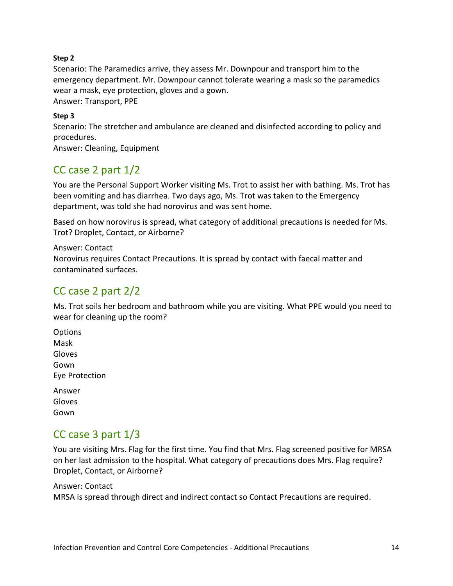#### **Step 2**

Scenario: The Paramedics arrive, they assess Mr. Downpour and transport him to the emergency department. Mr. Downpour cannot tolerate wearing a mask so the paramedics wear a mask, eye protection, gloves and a gown.

Answer: Transport, PPE

#### **Step 3**

Scenario: The stretcher and ambulance are cleaned and disinfected according to policy and procedures.

Answer: Cleaning, Equipment

### <span id="page-13-0"></span>CC case 2 part 1/2

You are the Personal Support Worker visiting Ms. Trot to assist her with bathing. Ms. Trot has been vomiting and has diarrhea. Two days ago, Ms. Trot was taken to the Emergency department, was told she had norovirus and was sent home.

Based on how norovirus is spread, what category of additional precautions is needed for Ms. Trot? Droplet, Contact, or Airborne?

Answer: Contact Norovirus requires Contact Precautions. It is spread by contact with faecal matter and contaminated surfaces.

### <span id="page-13-1"></span>CC case 2 part 2/2

Ms. Trot soils her bedroom and bathroom while you are visiting. What PPE would you need to wear for cleaning up the room?

- **Options** Mask Gloves Gown Eye Protection
- Answer Gloves Gown

### <span id="page-13-2"></span>CC case 3 part 1/3

You are visiting Mrs. Flag for the first time. You find that Mrs. Flag screened positive for MRSA on her last admission to the hospital. What category of precautions does Mrs. Flag require? Droplet, Contact, or Airborne?

Answer: Contact MRSA is spread through direct and indirect contact so Contact Precautions are required.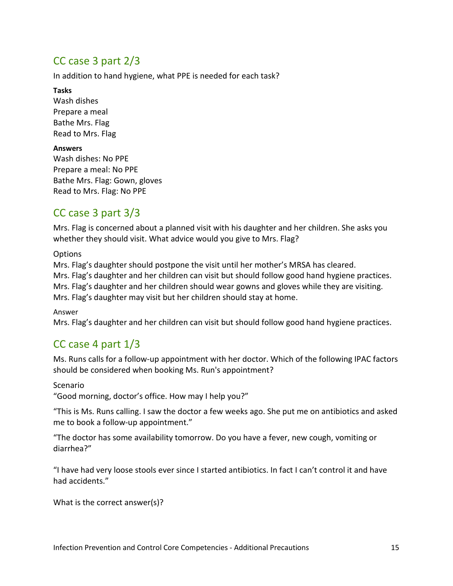### <span id="page-14-0"></span>CC case 3 part 2/3

In addition to hand hygiene, what PPE is needed for each task?

#### **Tasks**

Wash dishes Prepare a meal Bathe Mrs. Flag Read to Mrs. Flag

#### **Answers**

Wash dishes: No PPE Prepare a meal: No PPE Bathe Mrs. Flag: Gown, gloves Read to Mrs. Flag: No PPE

### <span id="page-14-1"></span>CC case 3 part 3/3

Mrs. Flag is concerned about a planned visit with his daughter and her children. She asks you whether they should visit. What advice would you give to Mrs. Flag?

**Options** 

Mrs. Flag's daughter should postpone the visit until her mother's MRSA has cleared. Mrs. Flag's daughter and her children can visit but should follow good hand hygiene practices. Mrs. Flag's daughter and her children should wear gowns and gloves while they are visiting. Mrs. Flag's daughter may visit but her children should stay at home.

Answer

Mrs. Flag's daughter and her children can visit but should follow good hand hygiene practices.

## <span id="page-14-2"></span>CC case 4 part 1/3

Ms. Runs calls for a follow-up appointment with her doctor. Which of the following IPAC factors should be considered when booking Ms. Run's appointment?

#### Scenario

"Good morning, doctor's office. How may I help you?"

"This is Ms. Runs calling. I saw the doctor a few weeks ago. She put me on antibiotics and asked me to book a follow-up appointment."

"The doctor has some availability tomorrow. Do you have a fever, new cough, vomiting or diarrhea?"

"I have had very loose stools ever since I started antibiotics. In fact I can't control it and have had accidents."

What is the correct answer(s)?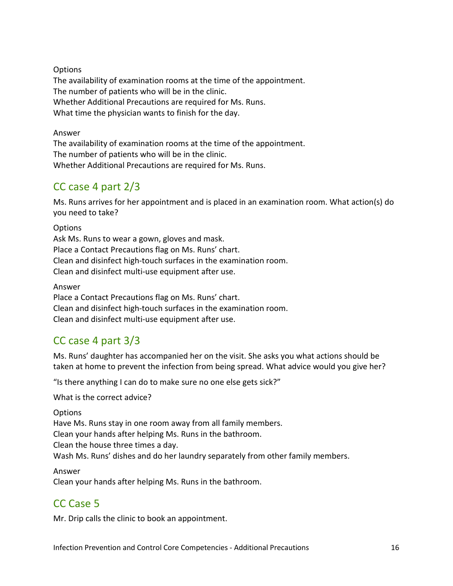**Options** The availability of examination rooms at the time of the appointment. The number of patients who will be in the clinic. Whether Additional Precautions are required for Ms. Runs. What time the physician wants to finish for the day.

Answer

The availability of examination rooms at the time of the appointment. The number of patients who will be in the clinic. Whether Additional Precautions are required for Ms. Runs.

## <span id="page-15-0"></span>CC case 4 part 2/3

Ms. Runs arrives for her appointment and is placed in an examination room. What action(s) do you need to take?

**Options** Ask Ms. Runs to wear a gown, gloves and mask. Place a Contact Precautions flag on Ms. Runs' chart. Clean and disinfect high-touch surfaces in the examination room. Clean and disinfect multi-use equipment after use.

Answer Place a Contact Precautions flag on Ms. Runs' chart. Clean and disinfect high-touch surfaces in the examination room. Clean and disinfect multi-use equipment after use.

## <span id="page-15-1"></span>CC case 4 part 3/3

Ms. Runs' daughter has accompanied her on the visit. She asks you what actions should be taken at home to prevent the infection from being spread. What advice would you give her?

"Is there anything I can do to make sure no one else gets sick?"

What is the correct advice?

**Options** 

Have Ms. Runs stay in one room away from all family members.

Clean your hands after helping Ms. Runs in the bathroom.

Clean the house three times a day.

Wash Ms. Runs' dishes and do her laundry separately from other family members.

Answer

<span id="page-15-2"></span>Clean your hands after helping Ms. Runs in the bathroom.

# CC Case 5

Mr. Drip calls the clinic to book an appointment.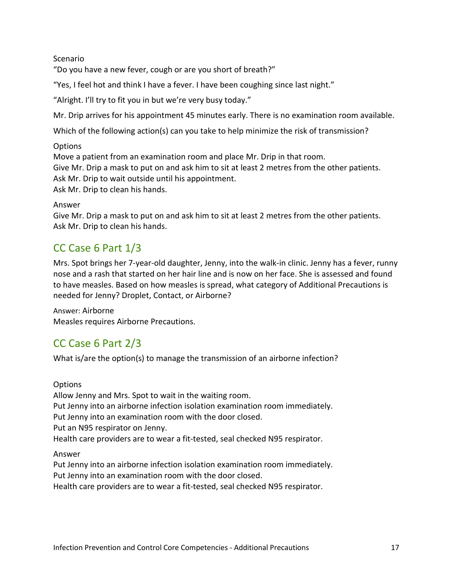#### Scenario

"Do you have a new fever, cough or are you short of breath?"

"Yes, I feel hot and think I have a fever. I have been coughing since last night."

"Alright. I'll try to fit you in but we're very busy today."

Mr. Drip arrives for his appointment 45 minutes early. There is no examination room available.

Which of the following action(s) can you take to help minimize the risk of transmission?

#### **Options**

Move a patient from an examination room and place Mr. Drip in that room. Give Mr. Drip a mask to put on and ask him to sit at least 2 metres from the other patients. Ask Mr. Drip to wait outside until his appointment. Ask Mr. Drip to clean his hands.

#### Answer

Give Mr. Drip a mask to put on and ask him to sit at least 2 metres from the other patients. Ask Mr. Drip to clean his hands.

### <span id="page-16-0"></span>CC Case 6 Part 1/3

Mrs. Spot brings her 7-year-old daughter, Jenny, into the walk-in clinic. Jenny has a fever, runny nose and a rash that started on her hair line and is now on her face. She is assessed and found to have measles. Based on how measles is spread, what category of Additional Precautions is needed for Jenny? Droplet, Contact, or Airborne?

Answer: Airborne Measles requires Airborne Precautions.

## <span id="page-16-1"></span>CC Case 6 Part 2/3

What is/are the option(s) to manage the transmission of an airborne infection?

**Options** 

Allow Jenny and Mrs. Spot to wait in the waiting room. Put Jenny into an airborne infection isolation examination room immediately. Put Jenny into an examination room with the door closed. Put an N95 respirator on Jenny. Health care providers are to wear a fit-tested, seal checked N95 respirator.

#### Answer

Put Jenny into an airborne infection isolation examination room immediately. Put Jenny into an examination room with the door closed.

Health care providers are to wear a fit-tested, seal checked N95 respirator.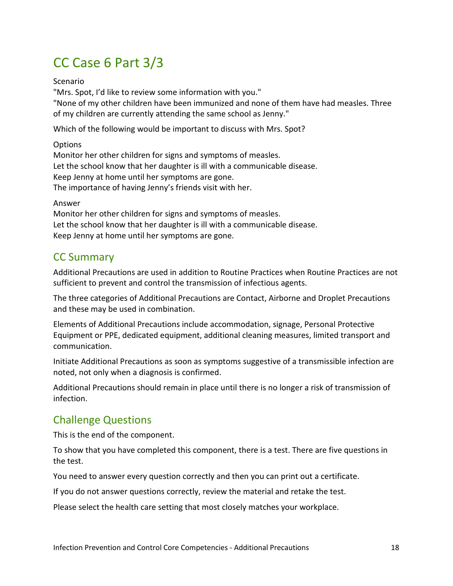# CC Case 6 Part 3/3

Scenario

"Mrs. Spot, I'd like to review some information with you."

"None of my other children have been immunized and none of them have had measles. Three of my children are currently attending the same school as Jenny."

Which of the following would be important to discuss with Mrs. Spot?

**Options** Monitor her other children for signs and symptoms of measles. Let the school know that her daughter is ill with a communicable disease. Keep Jenny at home until her symptoms are gone. The importance of having Jenny's friends visit with her.

#### Answer

Monitor her other children for signs and symptoms of measles. Let the school know that her daughter is ill with a communicable disease. Keep Jenny at home until her symptoms are gone.

### <span id="page-17-0"></span>CC Summary

Additional Precautions are used in addition to Routine Practices when Routine Practices are not sufficient to prevent and control the transmission of infectious agents.

The three categories of Additional Precautions are Contact, Airborne and Droplet Precautions and these may be used in combination.

Elements of Additional Precautions include accommodation, signage, Personal Protective Equipment or PPE, dedicated equipment, additional cleaning measures, limited transport and communication.

Initiate Additional Precautions as soon as symptoms suggestive of a transmissible infection are noted, not only when a diagnosis is confirmed.

Additional Precautions should remain in place until there is no longer a risk of transmission of infection.

## <span id="page-17-1"></span>Challenge Questions

This is the end of the component.

To show that you have completed this component, there is a test. There are five questions in the test.

You need to answer every question correctly and then you can print out a certificate.

If you do not answer questions correctly, review the material and retake the test.

Please select the health care setting that most closely matches your workplace.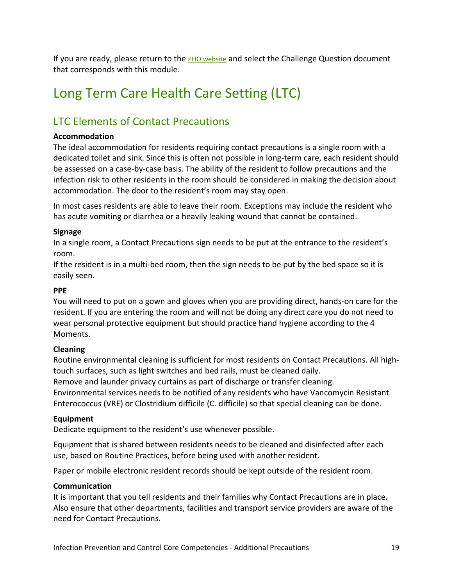If you are ready, please return to the **PHO website** and select the Challenge Question document that corresponds with this module.

# <span id="page-18-0"></span>Long Term Care Health Care Setting (LTC)

## <span id="page-18-1"></span>LTC Elements of Contact Precautions

#### **Accommodation**

The ideal accommodation for residents requiring contact precautions is a single room with a dedicated toilet and sink. Since this is often not possible in long-term care, each resident should be assessed on a case-by-case basis. The ability of the resident to follow precautions and the infection risk to other residents in the room should be considered in making the decision about accommodation. The door to the resident's room may stay open.

In most cases residents are able to leave their room. Exceptions may include the resident who has acute vomiting or diarrhea or a heavily leaking wound that cannot be contained.

#### **Signage**

In a single room, a Contact Precautions sign needs to be put at the entrance to the resident's room.

If the resident is in a multi-bed room, then the sign needs to be put by the bed space so it is easily seen.

#### **PPE**

You will need to put on a gown and gloves when you are providing direct, hands-on care for the resident. If you are entering the room and will not be doing any direct care you do not need to wear personal protective equipment but should practice hand hygiene according to the 4 Moments.

#### **Cleaning**

Routine environmental cleaning is sufficient for most residents on Contact Precautions. All hightouch surfaces, such as light switches and bed rails, must be cleaned daily. Remove and launder privacy curtains as part of discharge or transfer cleaning. Environmental services needs to be notified of any residents who have Vancomycin Resistant Enterococcus (VRE) or Clostridium difficile (C. difficile) so that special cleaning can be done.

#### **Equipment**

Dedicate equipment to the resident's use whenever possible.

Equipment that is shared between residents needs to be cleaned and disinfected after each use, based on Routine Practices, before being used with another resident.

Paper or mobile electronic resident records should be kept outside of the resident room.

#### **Communication**

It is important that you tell residents and their families why Contact Precautions are in place. Also ensure that other departments, facilities and transport service providers are aware of the need for Contact Precautions.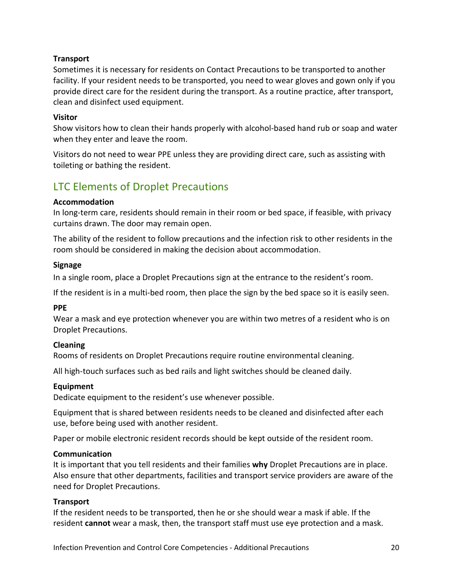#### **Transport**

Sometimes it is necessary for residents on Contact Precautions to be transported to another facility. If your resident needs to be transported, you need to wear gloves and gown only if you provide direct care for the resident during the transport. As a routine practice, after transport, clean and disinfect used equipment.

#### **Visitor**

Show visitors how to clean their hands properly with alcohol-based hand rub or soap and water when they enter and leave the room.

Visitors do not need to wear PPE unless they are providing direct care, such as assisting with toileting or bathing the resident.

### <span id="page-19-0"></span>LTC Elements of Droplet Precautions

#### **Accommodation**

In long-term care, residents should remain in their room or bed space, if feasible, with privacy curtains drawn. The door may remain open.

The ability of the resident to follow precautions and the infection risk to other residents in the room should be considered in making the decision about accommodation.

#### **Signage**

In a single room, place a Droplet Precautions sign at the entrance to the resident's room.

If the resident is in a multi-bed room, then place the sign by the bed space so it is easily seen.

#### **PPE**

Wear a mask and eye protection whenever you are within two metres of a resident who is on Droplet Precautions.

#### **Cleaning**

Rooms of residents on Droplet Precautions require routine environmental cleaning.

All high-touch surfaces such as bed rails and light switches should be cleaned daily.

#### **Equipment**

Dedicate equipment to the resident's use whenever possible.

Equipment that is shared between residents needs to be cleaned and disinfected after each use, before being used with another resident.

Paper or mobile electronic resident records should be kept outside of the resident room.

#### **Communication**

It is important that you tell residents and their families **why** Droplet Precautions are in place. Also ensure that other departments, facilities and transport service providers are aware of the need for Droplet Precautions.

#### **Transport**

If the resident needs to be transported, then he or she should wear a mask if able. If the resident **cannot** wear a mask, then, the transport staff must use eye protection and a mask.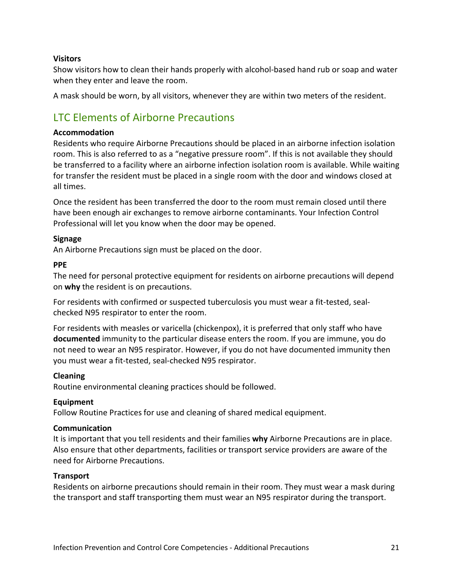#### **Visitors**

Show visitors how to clean their hands properly with alcohol-based hand rub or soap and water when they enter and leave the room.

A mask should be worn, by all visitors, whenever they are within two meters of the resident.

## <span id="page-20-0"></span>LTC Elements of Airborne Precautions

#### **Accommodation**

Residents who require Airborne Precautions should be placed in an airborne infection isolation room. This is also referred to as a "negative pressure room". If this is not available they should be transferred to a facility where an airborne infection isolation room is available. While waiting for transfer the resident must be placed in a single room with the door and windows closed at all times.

Once the resident has been transferred the door to the room must remain closed until there have been enough air exchanges to remove airborne contaminants. Your Infection Control Professional will let you know when the door may be opened.

#### **Signage**

An Airborne Precautions sign must be placed on the door.

#### **PPE**

The need for personal protective equipment for residents on airborne precautions will depend on **why** the resident is on precautions.

For residents with confirmed or suspected tuberculosis you must wear a fit-tested, sealchecked N95 respirator to enter the room.

For residents with measles or varicella (chickenpox), it is preferred that only staff who have **documented** immunity to the particular disease enters the room. If you are immune, you do not need to wear an N95 respirator. However, if you do not have documented immunity then you must wear a fit-tested, seal-checked N95 respirator.

#### **Cleaning**

Routine environmental cleaning practices should be followed.

#### **Equipment**

Follow Routine Practices for use and cleaning of shared medical equipment.

#### **Communication**

It is important that you tell residents and their families **why** Airborne Precautions are in place. Also ensure that other departments, facilities or transport service providers are aware of the need for Airborne Precautions.

#### **Transport**

Residents on airborne precautions should remain in their room. They must wear a mask during the transport and staff transporting them must wear an N95 respirator during the transport.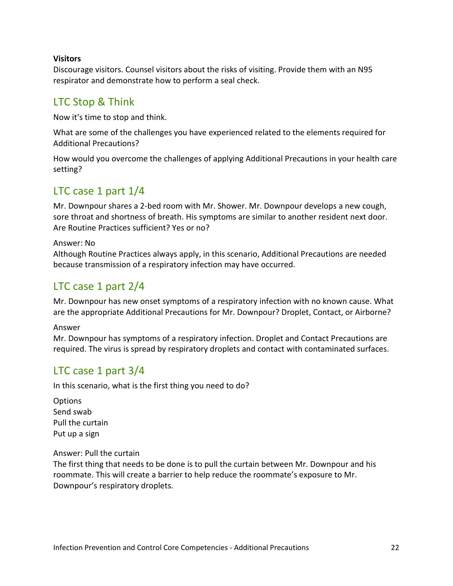#### **Visitors**

Discourage visitors. Counsel visitors about the risks of visiting. Provide them with an N95 respirator and demonstrate how to perform a seal check.

### <span id="page-21-0"></span>LTC Stop & Think

Now it's time to stop and think.

What are some of the challenges you have experienced related to the elements required for Additional Precautions?

How would you overcome the challenges of applying Additional Precautions in your health care setting?

### <span id="page-21-1"></span>LTC case 1 part 1/4

Mr. Downpour shares a 2-bed room with Mr. Shower. Mr. Downpour develops a new cough, sore throat and shortness of breath. His symptoms are similar to another resident next door. Are Routine Practices sufficient? Yes or no?

Answer: No

Although Routine Practices always apply, in this scenario, Additional Precautions are needed because transmission of a respiratory infection may have occurred.

### <span id="page-21-2"></span>LTC case 1 part 2/4

Mr. Downpour has new onset symptoms of a respiratory infection with no known cause. What are the appropriate Additional Precautions for Mr. Downpour? Droplet, Contact, or Airborne?

Answer

Mr. Downpour has symptoms of a respiratory infection. Droplet and Contact Precautions are required. The virus is spread by respiratory droplets and contact with contaminated surfaces.

### <span id="page-21-3"></span>LTC case 1 part 3/4

In this scenario, what is the first thing you need to do?

**Options** Send swab Pull the curtain Put up a sign

#### Answer: Pull the curtain

The first thing that needs to be done is to pull the curtain between Mr. Downpour and his roommate. This will create a barrier to help reduce the roommate's exposure to Mr. Downpour's respiratory droplets.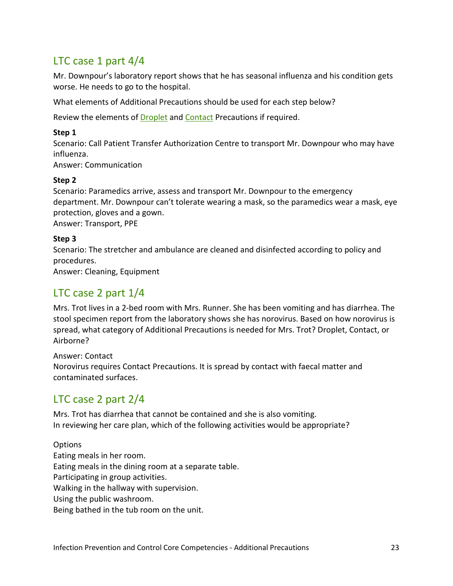## <span id="page-22-0"></span>LTC case 1 part 4/4

Mr. Downpour's laboratory report shows that he has seasonal influenza and his condition gets worse. He needs to go to the hospital.

What elements of Additional Precautions should be used for each step below?

Review the elements o[f Droplet](#page-19-0) and [Contact](#page-18-1) Precautions if required.

#### **Step 1**

Scenario: Call Patient Transfer Authorization Centre to transport Mr. Downpour who may have influenza.

Answer: Communication

#### **Step 2**

Scenario: Paramedics arrive, assess and transport Mr. Downpour to the emergency department. Mr. Downpour can't tolerate wearing a mask, so the paramedics wear a mask, eye protection, gloves and a gown.

Answer: Transport, PPE

#### **Step 3**

Scenario: The stretcher and ambulance are cleaned and disinfected according to policy and procedures.

Answer: Cleaning, Equipment

### <span id="page-22-1"></span>LTC case 2 part 1/4

Mrs. Trot lives in a 2-bed room with Mrs. Runner. She has been vomiting and has diarrhea. The stool specimen report from the laboratory shows she has norovirus. Based on how norovirus is spread, what category of Additional Precautions is needed for Mrs. Trot? Droplet, Contact, or Airborne?

Answer: Contact Norovirus requires Contact Precautions. It is spread by contact with faecal matter and contaminated surfaces.

## <span id="page-22-2"></span>LTC case 2 part 2/4

Mrs. Trot has diarrhea that cannot be contained and she is also vomiting. In reviewing her care plan, which of the following activities would be appropriate?

**Options** Eating meals in her room. Eating meals in the dining room at a separate table. Participating in group activities. Walking in the hallway with supervision. Using the public washroom. Being bathed in the tub room on the unit.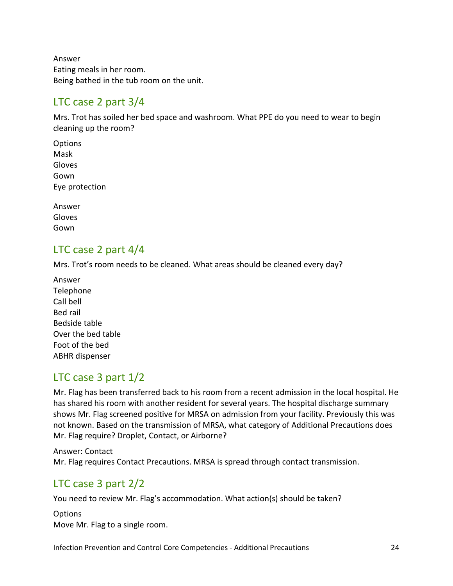Answer Eating meals in her room. Being bathed in the tub room on the unit.

### <span id="page-23-0"></span>LTC case 2 part 3/4

Mrs. Trot has soiled her bed space and washroom. What PPE do you need to wear to begin cleaning up the room?

**Options** Mask Gloves Gown Eye protection

Answer Gloves Gown

### <span id="page-23-1"></span>LTC case 2 part 4/4

Mrs. Trot's room needs to be cleaned. What areas should be cleaned every day?

Answer **Telephone** Call bell Bed rail Bedside table Over the bed table Foot of the bed ABHR dispenser

## <span id="page-23-2"></span>LTC case 3 part 1/2

Mr. Flag has been transferred back to his room from a recent admission in the local hospital. He has shared his room with another resident for several years. The hospital discharge summary shows Mr. Flag screened positive for MRSA on admission from your facility. Previously this was not known. Based on the transmission of MRSA, what category of Additional Precautions does Mr. Flag require? Droplet, Contact, or Airborne?

Answer: Contact Mr. Flag requires Contact Precautions. MRSA is spread through contact transmission.

## <span id="page-23-3"></span>LTC case 3 part 2/2

You need to review Mr. Flag's accommodation. What action(s) should be taken?

**Options** Move Mr. Flag to a single room.

Infection Prevention and Control Core Competencies - Additional Precautions 24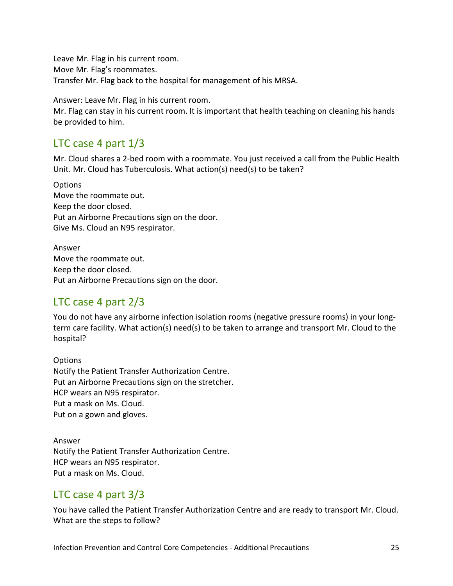Leave Mr. Flag in his current room. Move Mr. Flag's roommates. Transfer Mr. Flag back to the hospital for management of his MRSA.

Answer: Leave Mr. Flag in his current room.

Mr. Flag can stay in his current room. It is important that health teaching on cleaning his hands be provided to him.

### <span id="page-24-0"></span>LTC case 4 part 1/3

Mr. Cloud shares a 2-bed room with a roommate. You just received a call from the Public Health Unit. Mr. Cloud has Tuberculosis. What action(s) need(s) to be taken?

**Options** Move the roommate out. Keep the door closed. Put an Airborne Precautions sign on the door. Give Ms. Cloud an N95 respirator.

Answer Move the roommate out. Keep the door closed. Put an Airborne Precautions sign on the door.

## <span id="page-24-1"></span>LTC case 4 part 2/3

You do not have any airborne infection isolation rooms (negative pressure rooms) in your longterm care facility. What action(s) need(s) to be taken to arrange and transport Mr. Cloud to the hospital?

**Options** Notify the Patient Transfer Authorization Centre. Put an Airborne Precautions sign on the stretcher. HCP wears an N95 respirator. Put a mask on Ms. Cloud. Put on a gown and gloves.

Answer Notify the Patient Transfer Authorization Centre. HCP wears an N95 respirator. Put a mask on Ms. Cloud.

### <span id="page-24-2"></span>LTC case 4 part 3/3

You have called the Patient Transfer Authorization Centre and are ready to transport Mr. Cloud. What are the steps to follow?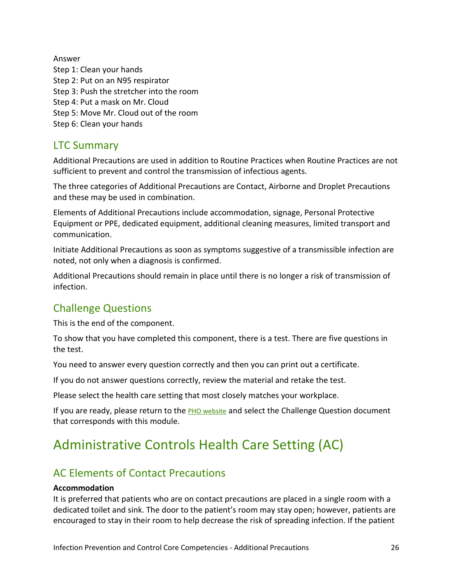Answer Step 1: Clean your hands Step 2: Put on an N95 respirator Step 3: Push the stretcher into the room Step 4: Put a mask on Mr. Cloud Step 5: Move Mr. Cloud out of the room Step 6: Clean your hands

### <span id="page-25-0"></span>LTC Summary

Additional Precautions are used in addition to Routine Practices when Routine Practices are not sufficient to prevent and control the transmission of infectious agents.

The three categories of Additional Precautions are Contact, Airborne and Droplet Precautions and these may be used in combination.

Elements of Additional Precautions include accommodation, signage, Personal Protective Equipment or PPE, dedicated equipment, additional cleaning measures, limited transport and communication.

Initiate Additional Precautions as soon as symptoms suggestive of a transmissible infection are noted, not only when a diagnosis is confirmed.

Additional Precautions should remain in place until there is no longer a risk of transmission of infection.

## <span id="page-25-1"></span>Challenge Questions

This is the end of the component.

To show that you have completed this component, there is a test. There are five questions in the test.

You need to answer every question correctly and then you can print out a certificate.

If you do not answer questions correctly, review the material and retake the test.

Please select the health care setting that most closely matches your workplace.

If you are ready, please return to the **PHO website** and select the Challenge Question document that corresponds with this module.

# <span id="page-25-2"></span>Administrative Controls Health Care Setting (AC)

## <span id="page-25-3"></span>AC Elements of Contact Precautions

#### **Accommodation**

It is preferred that patients who are on contact precautions are placed in a single room with a dedicated toilet and sink. The door to the patient's room may stay open; however, patients are encouraged to stay in their room to help decrease the risk of spreading infection. If the patient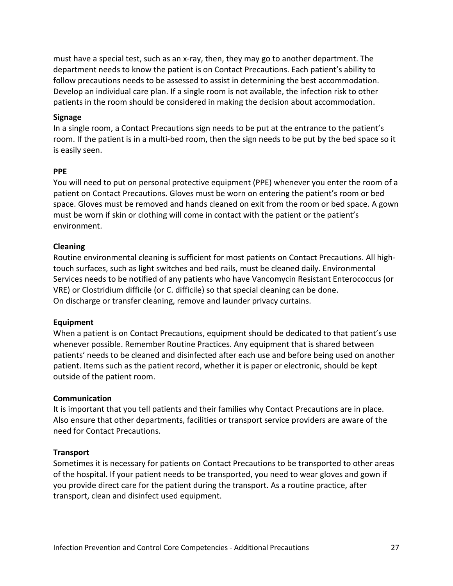must have a special test, such as an x-ray, then, they may go to another department. The department needs to know the patient is on Contact Precautions. Each patient's ability to follow precautions needs to be assessed to assist in determining the best accommodation. Develop an individual care plan. If a single room is not available, the infection risk to other patients in the room should be considered in making the decision about accommodation.

#### **Signage**

In a single room, a Contact Precautions sign needs to be put at the entrance to the patient's room. If the patient is in a multi-bed room, then the sign needs to be put by the bed space so it is easily seen.

#### **PPE**

You will need to put on personal protective equipment (PPE) whenever you enter the room of a patient on Contact Precautions. Gloves must be worn on entering the patient's room or bed space. Gloves must be removed and hands cleaned on exit from the room or bed space. A gown must be worn if skin or clothing will come in contact with the patient or the patient's environment.

#### **Cleaning**

Routine environmental cleaning is sufficient for most patients on Contact Precautions. All hightouch surfaces, such as light switches and bed rails, must be cleaned daily. Environmental Services needs to be notified of any patients who have Vancomycin Resistant Enterococcus (or VRE) or Clostridium difficile (or C. difficile) so that special cleaning can be done. On discharge or transfer cleaning, remove and launder privacy curtains.

#### **Equipment**

When a patient is on Contact Precautions, equipment should be dedicated to that patient's use whenever possible. Remember Routine Practices. Any equipment that is shared between patients' needs to be cleaned and disinfected after each use and before being used on another patient. Items such as the patient record, whether it is paper or electronic, should be kept outside of the patient room.

#### **Communication**

It is important that you tell patients and their families why Contact Precautions are in place. Also ensure that other departments, facilities or transport service providers are aware of the need for Contact Precautions.

#### **Transport**

Sometimes it is necessary for patients on Contact Precautions to be transported to other areas of the hospital. If your patient needs to be transported, you need to wear gloves and gown if you provide direct care for the patient during the transport. As a routine practice, after transport, clean and disinfect used equipment.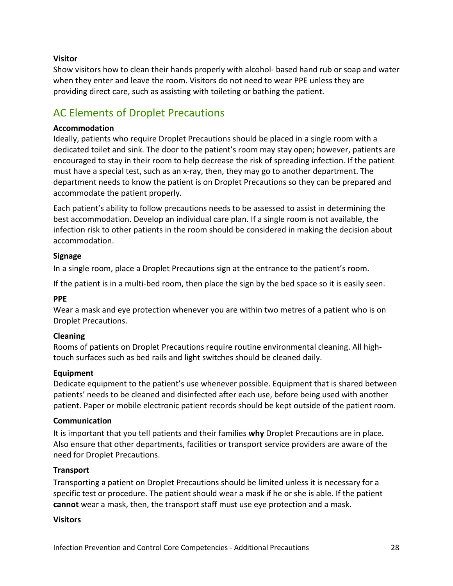#### **Visitor**

Show visitors how to clean their hands properly with alcohol- based hand rub or soap and water when they enter and leave the room. Visitors do not need to wear PPE unless they are providing direct care, such as assisting with toileting or bathing the patient.

## <span id="page-27-0"></span>AC Elements of Droplet Precautions

#### **Accommodation**

Ideally, patients who require Droplet Precautions should be placed in a single room with a dedicated toilet and sink. The door to the patient's room may stay open; however, patients are encouraged to stay in their room to help decrease the risk of spreading infection. If the patient must have a special test, such as an x-ray, then, they may go to another department. The department needs to know the patient is on Droplet Precautions so they can be prepared and accommodate the patient properly.

Each patient's ability to follow precautions needs to be assessed to assist in determining the best accommodation. Develop an individual care plan. If a single room is not available, the infection risk to other patients in the room should be considered in making the decision about accommodation.

#### **Signage**

In a single room, place a Droplet Precautions sign at the entrance to the patient's room.

If the patient is in a multi-bed room, then place the sign by the bed space so it is easily seen.

#### **PPE**

Wear a mask and eye protection whenever you are within two metres of a patient who is on Droplet Precautions.

#### **Cleaning**

Rooms of patients on Droplet Precautions require routine environmental cleaning. All hightouch surfaces such as bed rails and light switches should be cleaned daily.

#### **Equipment**

Dedicate equipment to the patient's use whenever possible. Equipment that is shared between patients' needs to be cleaned and disinfected after each use, before being used with another patient. Paper or mobile electronic patient records should be kept outside of the patient room.

#### **Communication**

It is important that you tell patients and their families **why** Droplet Precautions are in place. Also ensure that other departments, facilities or transport service providers are aware of the need for Droplet Precautions.

#### **Transport**

Transporting a patient on Droplet Precautions should be limited unless it is necessary for a specific test or procedure. The patient should wear a mask if he or she is able. If the patient **cannot** wear a mask, then, the transport staff must use eye protection and a mask.

#### **Visitors**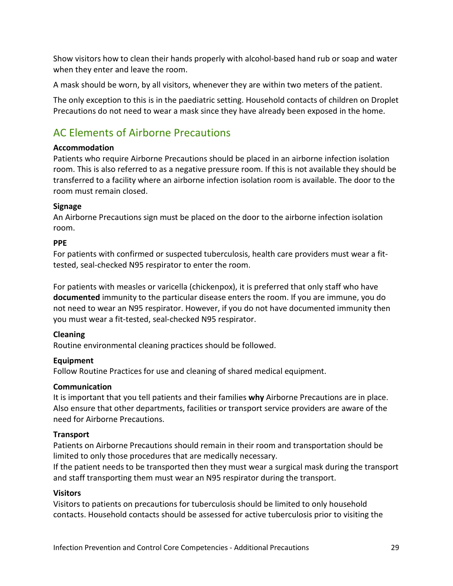Show visitors how to clean their hands properly with alcohol-based hand rub or soap and water when they enter and leave the room.

A mask should be worn, by all visitors, whenever they are within two meters of the patient.

The only exception to this is in the paediatric setting. Household contacts of children on Droplet Precautions do not need to wear a mask since they have already been exposed in the home.

## <span id="page-28-0"></span>AC Elements of Airborne Precautions

#### **Accommodation**

Patients who require Airborne Precautions should be placed in an airborne infection isolation room. This is also referred to as a negative pressure room. If this is not available they should be transferred to a facility where an airborne infection isolation room is available. The door to the room must remain closed.

#### **Signage**

An Airborne Precautions sign must be placed on the door to the airborne infection isolation room.

#### **PPE**

For patients with confirmed or suspected tuberculosis, health care providers must wear a fittested, seal-checked N95 respirator to enter the room.

For patients with measles or varicella (chickenpox), it is preferred that only staff who have **documented** immunity to the particular disease enters the room. If you are immune, you do not need to wear an N95 respirator. However, if you do not have documented immunity then you must wear a fit-tested, seal-checked N95 respirator.

#### **Cleaning**

Routine environmental cleaning practices should be followed.

#### **Equipment**

Follow Routine Practices for use and cleaning of shared medical equipment.

#### **Communication**

It is important that you tell patients and their families **why** Airborne Precautions are in place. Also ensure that other departments, facilities or transport service providers are aware of the need for Airborne Precautions.

#### **Transport**

Patients on Airborne Precautions should remain in their room and transportation should be limited to only those procedures that are medically necessary.

If the patient needs to be transported then they must wear a surgical mask during the transport and staff transporting them must wear an N95 respirator during the transport.

#### **Visitors**

Visitors to patients on precautions for tuberculosis should be limited to only household contacts. Household contacts should be assessed for active tuberculosis prior to visiting the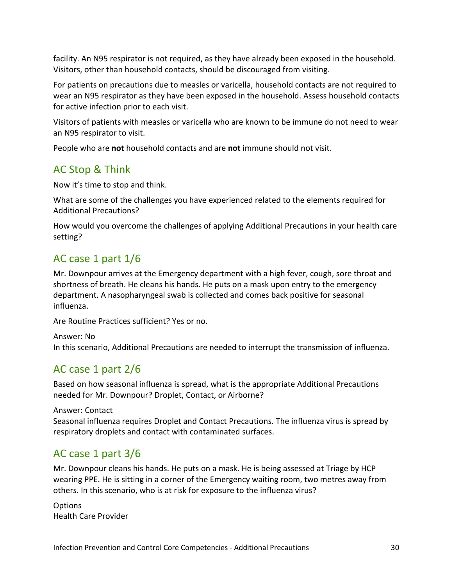facility. An N95 respirator is not required, as they have already been exposed in the household. Visitors, other than household contacts, should be discouraged from visiting.

For patients on precautions due to measles or varicella, household contacts are not required to wear an N95 respirator as they have been exposed in the household. Assess household contacts for active infection prior to each visit.

Visitors of patients with measles or varicella who are known to be immune do not need to wear an N95 respirator to visit.

People who are **not** household contacts and are **not** immune should not visit.

## <span id="page-29-0"></span>AC Stop & Think

Now it's time to stop and think.

What are some of the challenges you have experienced related to the elements required for Additional Precautions?

How would you overcome the challenges of applying Additional Precautions in your health care setting?

## <span id="page-29-1"></span>AC case 1 part 1/6

Mr. Downpour arrives at the Emergency department with a high fever, cough, sore throat and shortness of breath. He cleans his hands. He puts on a mask upon entry to the emergency department. A nasopharyngeal swab is collected and comes back positive for seasonal influenza.

Are Routine Practices sufficient? Yes or no.

```
Answer: No
In this scenario, Additional Precautions are needed to interrupt the transmission of influenza.
```
## <span id="page-29-2"></span>AC case 1 part 2/6

Based on how seasonal influenza is spread, what is the appropriate Additional Precautions needed for Mr. Downpour? Droplet, Contact, or Airborne?

#### Answer: Contact

Seasonal influenza requires Droplet and Contact Precautions. The influenza virus is spread by respiratory droplets and contact with contaminated surfaces.

## <span id="page-29-3"></span>AC case 1 part 3/6

Mr. Downpour cleans his hands. He puts on a mask. He is being assessed at Triage by HCP wearing PPE. He is sitting in a corner of the Emergency waiting room, two metres away from others. In this scenario, who is at risk for exposure to the influenza virus?

**Options** Health Care Provider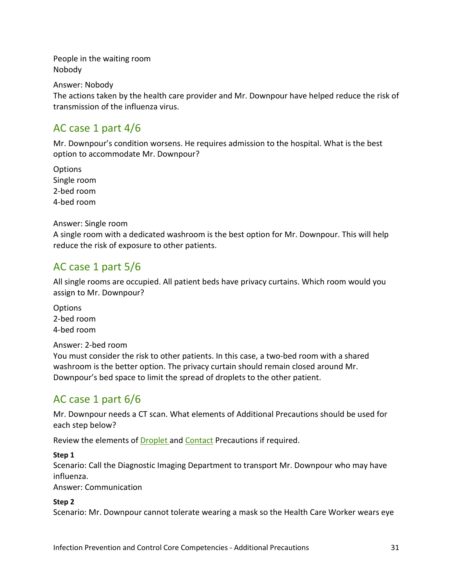People in the waiting room Nobody

Answer: Nobody

The actions taken by the health care provider and Mr. Downpour have helped reduce the risk of transmission of the influenza virus.

### <span id="page-30-0"></span>AC case 1 part 4/6

Mr. Downpour's condition worsens. He requires admission to the hospital. What is the best option to accommodate Mr. Downpour?

**Options** Single room 2-bed room 4-bed room

#### Answer: Single room

A single room with a dedicated washroom is the best option for Mr. Downpour. This will help reduce the risk of exposure to other patients.

### <span id="page-30-1"></span>AC case 1 part 5/6

All single rooms are occupied. All patient beds have privacy curtains. Which room would you assign to Mr. Downpour?

**Options** 2-bed room 4-bed room

Answer: 2-bed room

You must consider the risk to other patients. In this case, a two-bed room with a shared washroom is the better option. The privacy curtain should remain closed around Mr. Downpour's bed space to limit the spread of droplets to the other patient.

## <span id="page-30-2"></span>AC case 1 part 6/6

Mr. Downpour needs a CT scan. What elements of Additional Precautions should be used for each step below?

Review the elements o[f Droplet a](#page-27-0)nd [Contact](#page-25-3) Precautions if required.

#### **Step 1**

Scenario: Call the Diagnostic Imaging Department to transport Mr. Downpour who may have influenza.

Answer: Communication

#### **Step 2**

Scenario: Mr. Downpour cannot tolerate wearing a mask so the Health Care Worker wears eye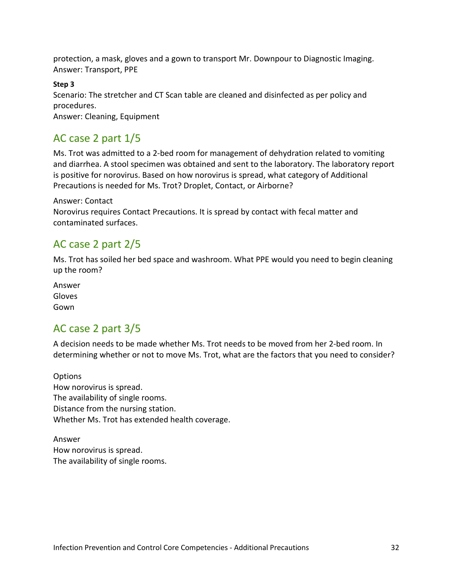protection, a mask, gloves and a gown to transport Mr. Downpour to Diagnostic Imaging. Answer: Transport, PPE

#### **Step 3**

Scenario: The stretcher and CT Scan table are cleaned and disinfected as per policy and procedures.

Answer: Cleaning, Equipment

### <span id="page-31-0"></span>AC case 2 part 1/5

Ms. Trot was admitted to a 2-bed room for management of dehydration related to vomiting and diarrhea. A stool specimen was obtained and sent to the laboratory. The laboratory report is positive for norovirus. Based on how norovirus is spread, what category of Additional Precautions is needed for Ms. Trot? Droplet, Contact, or Airborne?

#### Answer: Contact

Norovirus requires Contact Precautions. It is spread by contact with fecal matter and contaminated surfaces.

### <span id="page-31-1"></span>AC case 2 part 2/5

Ms. Trot has soiled her bed space and washroom. What PPE would you need to begin cleaning up the room?

Answer Gloves Gown

### <span id="page-31-2"></span>AC case 2 part 3/5

A decision needs to be made whether Ms. Trot needs to be moved from her 2-bed room. In determining whether or not to move Ms. Trot, what are the factors that you need to consider?

**Options** How norovirus is spread. The availability of single rooms. Distance from the nursing station. Whether Ms. Trot has extended health coverage.

Answer How norovirus is spread. The availability of single rooms.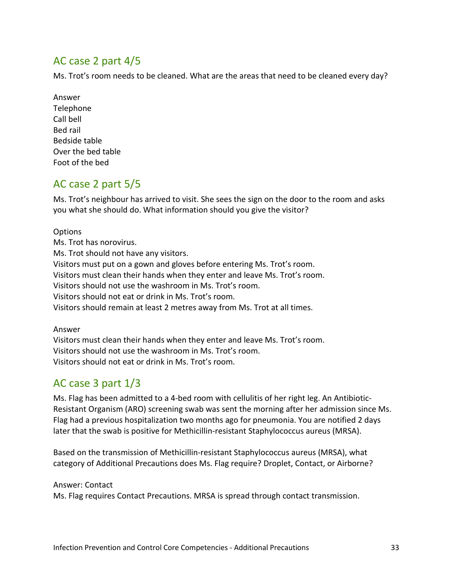### <span id="page-32-0"></span>AC case 2 part 4/5

Ms. Trot's room needs to be cleaned. What are the areas that need to be cleaned every day?

Answer Telephone Call bell Bed rail Bedside table Over the bed table Foot of the bed

### <span id="page-32-1"></span>AC case 2 part 5/5

Ms. Trot's neighbour has arrived to visit. She sees the sign on the door to the room and asks you what she should do. What information should you give the visitor?

**Options** Ms. Trot has norovirus. Ms. Trot should not have any visitors. Visitors must put on a gown and gloves before entering Ms. Trot's room. Visitors must clean their hands when they enter and leave Ms. Trot's room. Visitors should not use the washroom in Ms. Trot's room. Visitors should not eat or drink in Ms. Trot's room. Visitors should remain at least 2 metres away from Ms. Trot at all times.

#### Answer

Visitors must clean their hands when they enter and leave Ms. Trot's room. Visitors should not use the washroom in Ms. Trot's room. Visitors should not eat or drink in Ms. Trot's room.

## <span id="page-32-2"></span>AC case 3 part 1/3

Ms. Flag has been admitted to a 4-bed room with cellulitis of her right leg. An Antibiotic-Resistant Organism (ARO) screening swab was sent the morning after her admission since Ms. Flag had a previous hospitalization two months ago for pneumonia. You are notified 2 days later that the swab is positive for Methicillin-resistant Staphylococcus aureus (MRSA).

Based on the transmission of Methicillin-resistant Staphylococcus aureus (MRSA), what category of Additional Precautions does Ms. Flag require? Droplet, Contact, or Airborne?

#### Answer: Contact

Ms. Flag requires Contact Precautions. MRSA is spread through contact transmission.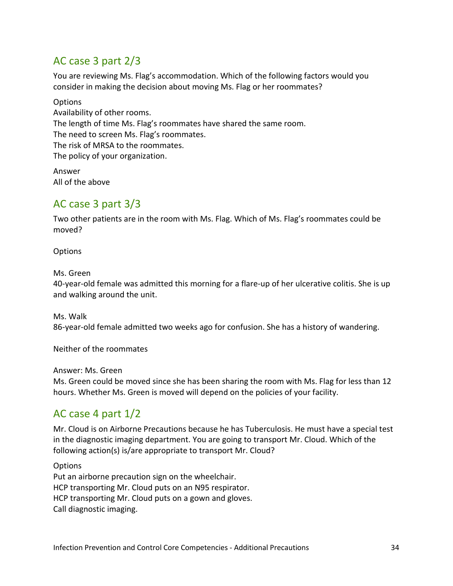### <span id="page-33-0"></span>AC case 3 part 2/3

You are reviewing Ms. Flag's accommodation. Which of the following factors would you consider in making the decision about moving Ms. Flag or her roommates?

**Options** Availability of other rooms. The length of time Ms. Flag's roommates have shared the same room. The need to screen Ms. Flag's roommates. The risk of MRSA to the roommates. The policy of your organization.

Answer All of the above

### <span id="page-33-1"></span>AC case 3 part 3/3

Two other patients are in the room with Ms. Flag. Which of Ms. Flag's roommates could be moved?

**Options** 

Ms. Green

40-year-old female was admitted this morning for a flare-up of her ulcerative colitis. She is up and walking around the unit.

Ms. Walk 86-year-old female admitted two weeks ago for confusion. She has a history of wandering.

Neither of the roommates

Answer: Ms. Green Ms. Green could be moved since she has been sharing the room with Ms. Flag for less than 12 hours. Whether Ms. Green is moved will depend on the policies of your facility.

## <span id="page-33-2"></span>AC case 4 part 1/2

Mr. Cloud is on Airborne Precautions because he has Tuberculosis. He must have a special test in the diagnostic imaging department. You are going to transport Mr. Cloud. Which of the following action(s) is/are appropriate to transport Mr. Cloud?

**Options** Put an airborne precaution sign on the wheelchair. HCP transporting Mr. Cloud puts on an N95 respirator. HCP transporting Mr. Cloud puts on a gown and gloves. Call diagnostic imaging.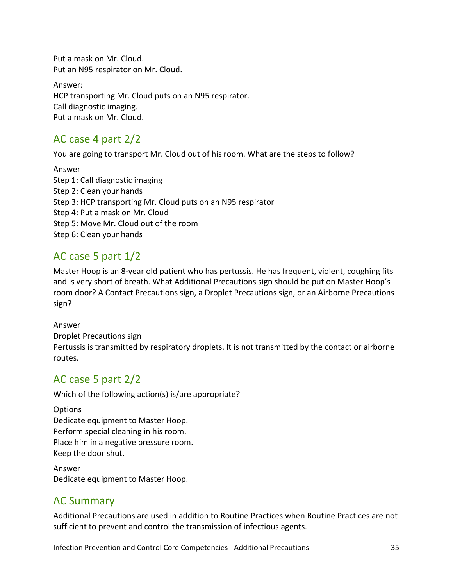Put a mask on Mr. Cloud. Put an N95 respirator on Mr. Cloud.

Answer: HCP transporting Mr. Cloud puts on an N95 respirator. Call diagnostic imaging. Put a mask on Mr. Cloud.

## <span id="page-34-0"></span>AC case 4 part 2/2

You are going to transport Mr. Cloud out of his room. What are the steps to follow?

Answer Step 1: Call diagnostic imaging Step 2: Clean your hands Step 3: HCP transporting Mr. Cloud puts on an N95 respirator Step 4: Put a mask on Mr. Cloud Step 5: Move Mr. Cloud out of the room Step 6: Clean your hands

## <span id="page-34-1"></span>AC case 5 part 1/2

Master Hoop is an 8-year old patient who has pertussis. He has frequent, violent, coughing fits and is very short of breath. What Additional Precautions sign should be put on Master Hoop's room door? A Contact Precautions sign, a Droplet Precautions sign, or an Airborne Precautions sign?

### Answer Droplet Precautions sign Pertussis is transmitted by respiratory droplets. It is not transmitted by the contact or airborne routes.

## <span id="page-34-2"></span>AC case 5 part 2/2

Which of the following action(s) is/are appropriate?

#### **Options** Dedicate equipment to Master Hoop. Perform special cleaning in his room. Place him in a negative pressure room. Keep the door shut.

Answer Dedicate equipment to Master Hoop.

## <span id="page-34-3"></span>AC Summary

Additional Precautions are used in addition to Routine Practices when Routine Practices are not sufficient to prevent and control the transmission of infectious agents.

Infection Prevention and Control Core Competencies - Additional Precautions 35